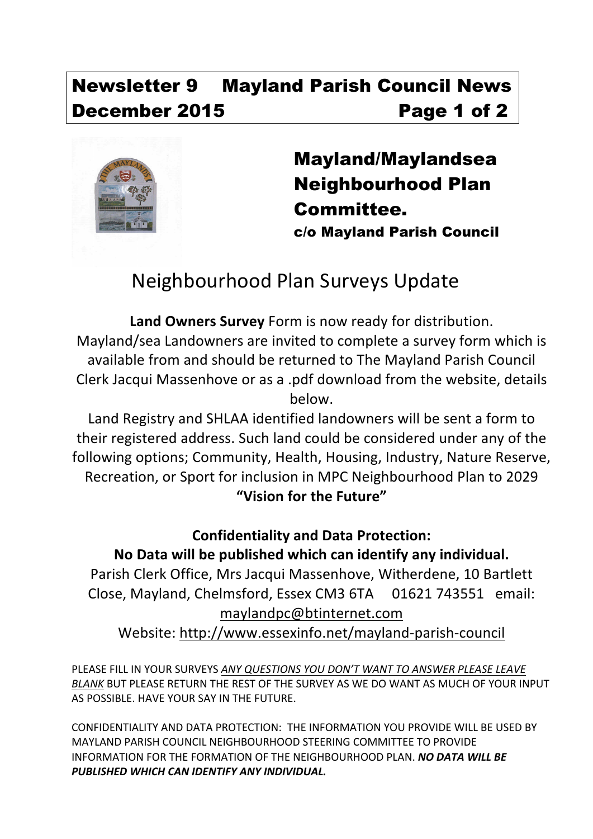# Newsletter 9 Mayland Parish Council News December 2015 **Page 1 of 2**



Mayland/Maylandsea Neighbourhood Plan Committee. c/o Mayland Parish Council

# Neighbourhood Plan Surveys Update

Land Owners Survey Form is now ready for distribution. Mayland/sea Landowners are invited to complete a survey form which is available from and should be returned to The Mayland Parish Council Clerk Jacqui Massenhove or as a .pdf download from the website, details below.

Land Registry and SHLAA identified landowners will be sent a form to their registered address. Such land could be considered under any of the following options; Community, Health, Housing, Industry, Nature Reserve, Recreation, or Sport for inclusion in MPC Neighbourhood Plan to 2029 **"Vision for the Future"**

## **Confidentiality and Data Protection:** No Data will be published which can identify any individual.

Parish Clerk Office, Mrs Jacqui Massenhove, Witherdene, 10 Bartlett Close, Mayland, Chelmsford, Essex CM3 6TA 01621 743551 email: maylandpc@btinternet.com 

Website: http://www.essexinfo.net/mayland-parish-council

PLEASE FILL IN YOUR SURVEYS ANY QUESTIONS YOU DON'T WANT TO ANSWER PLEASE LEAVE *BLANK* BUT PLEASE RETURN THE REST OF THE SURVEY AS WE DO WANT AS MUCH OF YOUR INPUT AS POSSIBLE. HAVE YOUR SAY IN THE FUTURE.

CONFIDENTIALITY AND DATA PROTECTION: THE INFORMATION YOU PROVIDE WILL BE USED BY MAYLAND PARISH COUNCIL NEIGHBOURHOOD STEERING COMMITTEE TO PROVIDE INFORMATION FOR THE FORMATION OF THE NEIGHBOURHOOD PLAN. *NO DATA WILL BE* **PUBLISHED WHICH CAN IDENTIFY ANY INDIVIDUAL.**